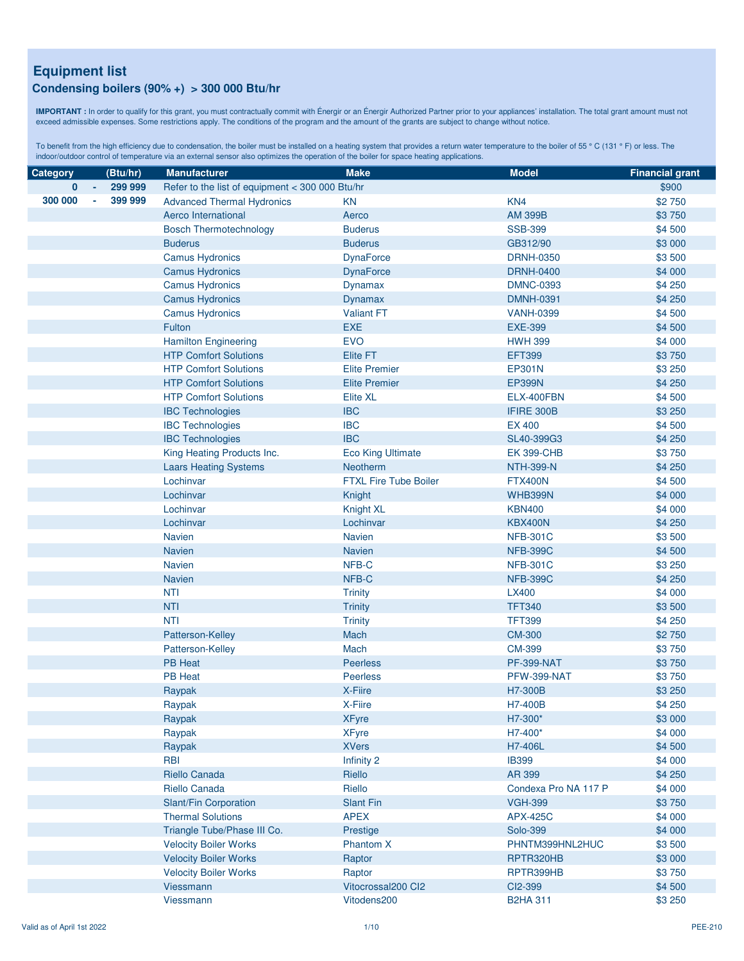#### **Condensing boilers (90% +) > 300 000 Btu/hr**

**IMPORTANT :** In order to qualify for this grant, you must contractually commit with Énergir or an Énergir Authorized Partner prior to your appliances' installation. The total grant amount must not exceed admissible expenses. Some restrictions apply. The conditions of the program and the amount of the grants are subject to change without notice.

| <b>Category</b> | (Btu/hr)          | <b>Manufacturer</b>                             | <b>Make</b>                       | <b>Model</b>               | <b>Financial grant</b> |
|-----------------|-------------------|-------------------------------------------------|-----------------------------------|----------------------------|------------------------|
| 0               | 299 999           | Refer to the list of equipment < 300 000 Btu/hr |                                   |                            | \$900                  |
| 300 000         | 399 999<br>$\sim$ | <b>Advanced Thermal Hydronics</b>               | KN                                | KN4                        | \$2750                 |
|                 |                   | Aerco International                             | Aerco                             | <b>AM 399B</b>             | \$3750                 |
|                 |                   | <b>Bosch Thermotechnology</b>                   | <b>Buderus</b>                    | <b>SSB-399</b>             | \$4 500                |
|                 |                   | <b>Buderus</b>                                  | <b>Buderus</b>                    | GB312/90                   | \$3 000                |
|                 |                   | <b>Camus Hydronics</b>                          | <b>DynaForce</b>                  | <b>DRNH-0350</b>           | \$3 500                |
|                 |                   | <b>Camus Hydronics</b>                          | <b>DynaForce</b>                  | <b>DRNH-0400</b>           | \$4 000                |
|                 |                   | <b>Camus Hydronics</b>                          | Dynamax                           | <b>DMNC-0393</b>           | \$4 250                |
|                 |                   | <b>Camus Hydronics</b>                          | Dynamax                           | <b>DMNH-0391</b>           | \$4 250                |
|                 |                   | <b>Camus Hydronics</b>                          | <b>Valiant FT</b>                 | <b>VANH-0399</b>           | \$4 500                |
|                 |                   | Fulton                                          | EXE                               | <b>EXE-399</b>             | \$4 500                |
|                 |                   | <b>Hamilton Engineering</b>                     | <b>EVO</b>                        | <b>HWH 399</b>             | \$4 000                |
|                 |                   | <b>HTP Comfort Solutions</b>                    | <b>Elite FT</b>                   | <b>EFT399</b>              | \$3750                 |
|                 |                   | <b>HTP Comfort Solutions</b>                    | <b>Elite Premier</b>              | EP301N                     | \$3 250                |
|                 |                   | <b>HTP Comfort Solutions</b>                    | <b>Elite Premier</b>              | <b>EP399N</b>              | \$4 250                |
|                 |                   | <b>HTP Comfort Solutions</b>                    | <b>Elite XL</b>                   | ELX-400FBN                 | \$4 500                |
|                 |                   | <b>IBC Technologies</b>                         | <b>IBC</b>                        | IFIRE 300B                 | \$3 250                |
|                 |                   | <b>IBC Technologies</b>                         | <b>IBC</b>                        | <b>EX 400</b>              | \$4 500                |
|                 |                   | <b>IBC Technologies</b>                         | <b>IBC</b>                        | SL40-399G3                 | \$4 250                |
|                 |                   | King Heating Products Inc.                      | <b>Eco King Ultimate</b>          | <b>EK 399-CHB</b>          | \$3750                 |
|                 |                   | <b>Laars Heating Systems</b>                    | <b>Neotherm</b>                   | <b>NTH-399-N</b>           | \$4 250                |
|                 |                   | Lochinvar                                       | <b>FTXL Fire Tube Boiler</b>      | <b>FTX400N</b>             | \$4 500                |
|                 |                   | Lochinvar                                       | Knight                            | WHB399N                    | \$4 000                |
|                 |                   | Lochinvar                                       | Knight XL                         | <b>KBN400</b>              | \$4 000                |
|                 |                   | Lochinvar                                       | Lochinvar                         | <b>KBX400N</b>             | \$4 250                |
|                 |                   | Navien                                          | <b>Navien</b>                     | <b>NFB-301C</b>            | \$3 500                |
|                 |                   | <b>Navien</b>                                   | <b>Navien</b>                     | <b>NFB-399C</b>            | \$4 500                |
|                 |                   | <b>Navien</b>                                   | NFB-C                             | <b>NFB-301C</b>            | \$3 250                |
|                 |                   | <b>Navien</b>                                   | NFB-C                             | <b>NFB-399C</b>            | \$4 250                |
|                 |                   | <b>NTI</b>                                      | <b>Trinity</b>                    | <b>LX400</b>               | \$4 000                |
|                 |                   | <b>NTI</b>                                      | <b>Trinity</b>                    | <b>TFT340</b>              | \$3 500                |
|                 |                   | <b>NTI</b>                                      | <b>Trinity</b>                    | <b>TFT399</b>              | \$4 250                |
|                 |                   | Patterson-Kelley                                | Mach                              | <b>CM-300</b>              | \$2750                 |
|                 |                   | Patterson-Kelley                                | Mach                              | CM-399                     | \$3750                 |
|                 |                   | <b>PB Heat</b>                                  | <b>Peerless</b>                   | <b>PF-399-NAT</b>          | \$3750                 |
|                 |                   | <b>PB Heat</b>                                  | <b>Peerless</b>                   | PFW-399-NAT                | \$3750                 |
|                 |                   | Raypak                                          | X-Fiire                           | H7-300B                    | \$3 250                |
|                 |                   | Raypak                                          | X-Fiire                           | H7-400B                    | \$4 250                |
|                 |                   | Raypak                                          | <b>XFyre</b>                      | H7-300*                    | \$3 000                |
|                 |                   | Raypak                                          | <b>XFyre</b>                      | H7-400*                    | \$4 000                |
|                 |                   | Raypak                                          | <b>XVers</b>                      | H7-406L                    | \$4 500                |
|                 |                   | <b>RBI</b>                                      | Infinity 2                        | <b>IB399</b>               | \$4 000                |
|                 |                   | Riello Canada                                   | Riello                            | AR 399                     | \$4 250                |
|                 |                   | Riello Canada                                   | Riello                            | Condexa Pro NA 117 P       | \$4 000                |
|                 |                   | Slant/Fin Corporation                           | <b>Slant Fin</b>                  | <b>VGH-399</b>             | \$3750                 |
|                 |                   | <b>Thermal Solutions</b>                        | <b>APEX</b>                       | <b>APX-425C</b>            | \$4 000                |
|                 |                   | Triangle Tube/Phase III Co.                     | Prestige                          | Solo-399                   | \$4 000                |
|                 |                   | <b>Velocity Boiler Works</b>                    | <b>Phantom X</b>                  | PHNTM399HNL2HUC            | \$3 500                |
|                 |                   | <b>Velocity Boiler Works</b>                    | Raptor                            | RPTR320HB                  | \$3 000                |
|                 |                   | <b>Velocity Boiler Works</b>                    | Raptor                            | RPTR399HB                  | \$3750                 |
|                 |                   | Viessmann<br>Viessmann                          | Vitocrossal200 Cl2<br>Vitodens200 | CI2-399<br><b>B2HA 311</b> | \$4 500<br>\$3 250     |
|                 |                   |                                                 |                                   |                            |                        |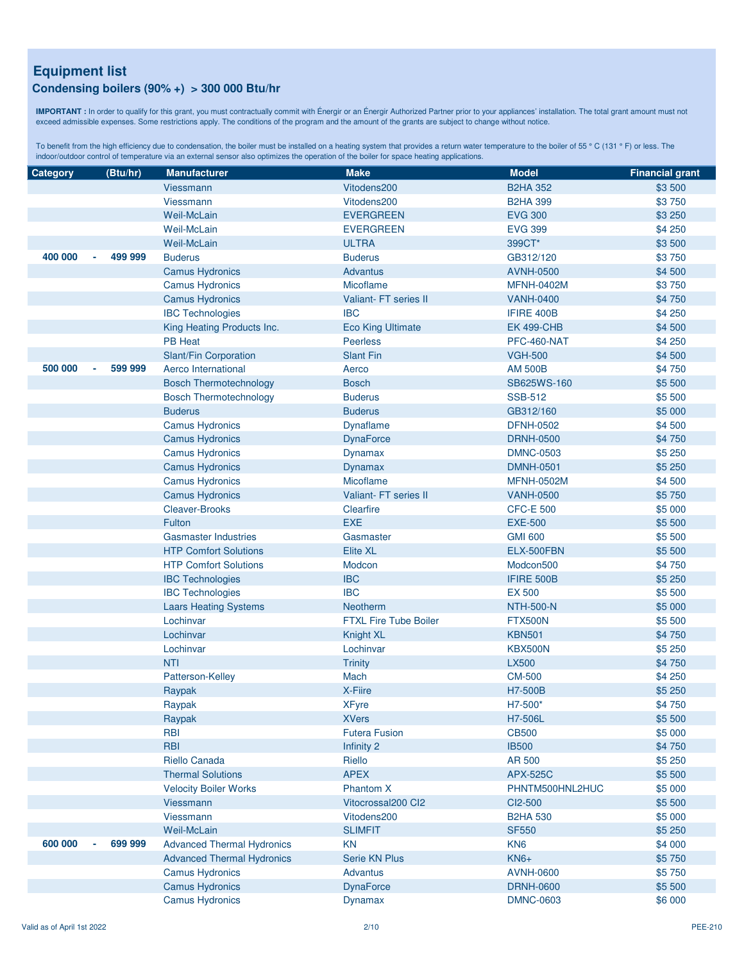### **Condensing boilers (90% +) > 300 000 Btu/hr**

**IMPORTANT :** In order to qualify for this grant, you must contractually commit with Énergir or an Énergir Authorized Partner prior to your appliances' installation. The total grant amount must not exceed admissible expenses. Some restrictions apply. The conditions of the program and the amount of the grants are subject to change without notice.

| Category | (Btu/hr)          | <b>Manufacturer</b>               | <b>Make</b>                  | <b>Model</b>      | <b>Financial grant</b> |
|----------|-------------------|-----------------------------------|------------------------------|-------------------|------------------------|
|          |                   | <b>Viessmann</b>                  | Vitodens200                  | <b>B2HA 352</b>   | \$3 500                |
|          |                   | Viessmann                         | Vitodens200                  | <b>B2HA 399</b>   | \$3750                 |
|          |                   | Weil-McLain                       | <b>EVERGREEN</b>             | <b>EVG 300</b>    | \$3 250                |
|          |                   | <b>Weil-McLain</b>                | <b>EVERGREEN</b>             | <b>EVG 399</b>    | \$4 250                |
|          |                   | <b>Weil-McLain</b>                | <b>ULTRA</b>                 | 399CT*            | \$3 500                |
| 400 000  | 499 999           | <b>Buderus</b>                    | <b>Buderus</b>               | GB312/120         | \$3750                 |
|          |                   | <b>Camus Hydronics</b>            | <b>Advantus</b>              | <b>AVNH-0500</b>  | \$4 500                |
|          |                   | <b>Camus Hydronics</b>            | Micoflame                    | <b>MFNH-0402M</b> | \$3750                 |
|          |                   | <b>Camus Hydronics</b>            | <b>Valiant-FT series II</b>  | <b>VANH-0400</b>  | \$4 750                |
|          |                   | <b>IBC Technologies</b>           | <b>IBC</b>                   | IFIRE 400B        | \$4 250                |
|          |                   | King Heating Products Inc.        | <b>Eco King Ultimate</b>     | <b>EK 499-CHB</b> | \$4 500                |
|          |                   | <b>PB Heat</b>                    | <b>Peerless</b>              | PFC-460-NAT       | \$4 250                |
|          |                   | Slant/Fin Corporation             | <b>Slant Fin</b>             | <b>VGH-500</b>    | \$4 500                |
| 500 000  | 599 999<br>$\sim$ | Aerco International               | Aerco                        | <b>AM 500B</b>    | \$4 750                |
|          |                   | <b>Bosch Thermotechnology</b>     | <b>Bosch</b>                 | SB625WS-160       | \$5 500                |
|          |                   | <b>Bosch Thermotechnology</b>     | <b>Buderus</b>               | <b>SSB-512</b>    | \$5 500                |
|          |                   | <b>Buderus</b>                    | <b>Buderus</b>               | GB312/160         | \$5 000                |
|          |                   | <b>Camus Hydronics</b>            | Dynaflame                    | <b>DFNH-0502</b>  | \$4 500                |
|          |                   | <b>Camus Hydronics</b>            | <b>DynaForce</b>             | <b>DRNH-0500</b>  | \$4 750                |
|          |                   | <b>Camus Hydronics</b>            | <b>Dynamax</b>               | <b>DMNC-0503</b>  | \$5 250                |
|          |                   | <b>Camus Hydronics</b>            | Dynamax                      | <b>DMNH-0501</b>  | \$5 250                |
|          |                   | <b>Camus Hydronics</b>            | <b>Micoflame</b>             | <b>MFNH-0502M</b> | \$4 500                |
|          |                   | <b>Camus Hydronics</b>            | Valiant- FT series II        | <b>VANH-0500</b>  | \$5750                 |
|          |                   | <b>Cleaver-Brooks</b>             | Clearfire                    | <b>CFC-E 500</b>  | \$5 000                |
|          |                   | Fulton                            | <b>EXE</b>                   | <b>EXE-500</b>    | \$5 500                |
|          |                   | <b>Gasmaster Industries</b>       | Gasmaster                    | <b>GMI 600</b>    | \$5 500                |
|          |                   | <b>HTP Comfort Solutions</b>      | <b>Elite XL</b>              | ELX-500FBN        | \$5 500                |
|          |                   | <b>HTP Comfort Solutions</b>      | Modcon                       | Modcon500         | \$4 750                |
|          |                   | <b>IBC Technologies</b>           | <b>IBC</b>                   | IFIRE 500B        | \$5 250                |
|          |                   | <b>IBC Technologies</b>           | <b>IBC</b>                   | <b>EX 500</b>     | \$5 500                |
|          |                   | <b>Laars Heating Systems</b>      | <b>Neotherm</b>              | <b>NTH-500-N</b>  | \$5 000                |
|          |                   | Lochinvar                         | <b>FTXL Fire Tube Boiler</b> | <b>FTX500N</b>    | \$5 500                |
|          |                   | Lochinvar                         | <b>Knight XL</b>             | <b>KBN501</b>     | \$4 750                |
|          |                   | Lochinvar                         | Lochinvar                    | <b>KBX500N</b>    | \$5 250                |
|          |                   | <b>NTI</b>                        | <b>Trinity</b>               | <b>LX500</b>      | \$4 750                |
|          |                   | Patterson-Kelley                  | Mach                         | <b>CM-500</b>     | \$4 250                |
|          |                   | Raypak                            | X-Fiire                      | H7-500B           | \$5 250                |
|          |                   | Raypak                            | <b>XFyre</b>                 | H7-500*           | \$4750                 |
|          |                   | Raypak                            | <b>XVers</b>                 | H7-506L           | \$5 500                |
|          |                   | <b>RBI</b>                        | <b>Futera Fusion</b>         | <b>CB500</b>      | \$5 000                |
|          |                   | <b>RBI</b>                        | <b>Infinity 2</b>            | <b>IB500</b>      | \$4 750                |
|          |                   | Riello Canada                     | Riello                       | AR 500            | \$5 250                |
|          |                   | <b>Thermal Solutions</b>          | <b>APEX</b>                  | <b>APX-525C</b>   | \$5 500                |
|          |                   | <b>Velocity Boiler Works</b>      | <b>Phantom X</b>             | PHNTM500HNL2HUC   | \$5 000                |
|          |                   | Viessmann                         | Vitocrossal200 Cl2           | CI2-500           | \$5 500                |
|          |                   | Viessmann                         | Vitodens200                  | <b>B2HA 530</b>   | \$5 000                |
|          |                   | Weil-McLain                       | <b>SLIMFIT</b>               | <b>SF550</b>      | \$5 250                |
| 600 000  | 699 999<br>à,     | <b>Advanced Thermal Hydronics</b> | <b>KN</b>                    | KN <sub>6</sub>   | \$4 000                |
|          |                   | <b>Advanced Thermal Hydronics</b> | Serie KN Plus                | <b>KN6+</b>       | \$5750                 |
|          |                   | <b>Camus Hydronics</b>            | <b>Advantus</b>              | <b>AVNH-0600</b>  | \$5750                 |
|          |                   | <b>Camus Hydronics</b>            | <b>DynaForce</b>             | <b>DRNH-0600</b>  | \$5 500                |
|          |                   | <b>Camus Hydronics</b>            | <b>Dynamax</b>               | <b>DMNC-0603</b>  | \$6 000                |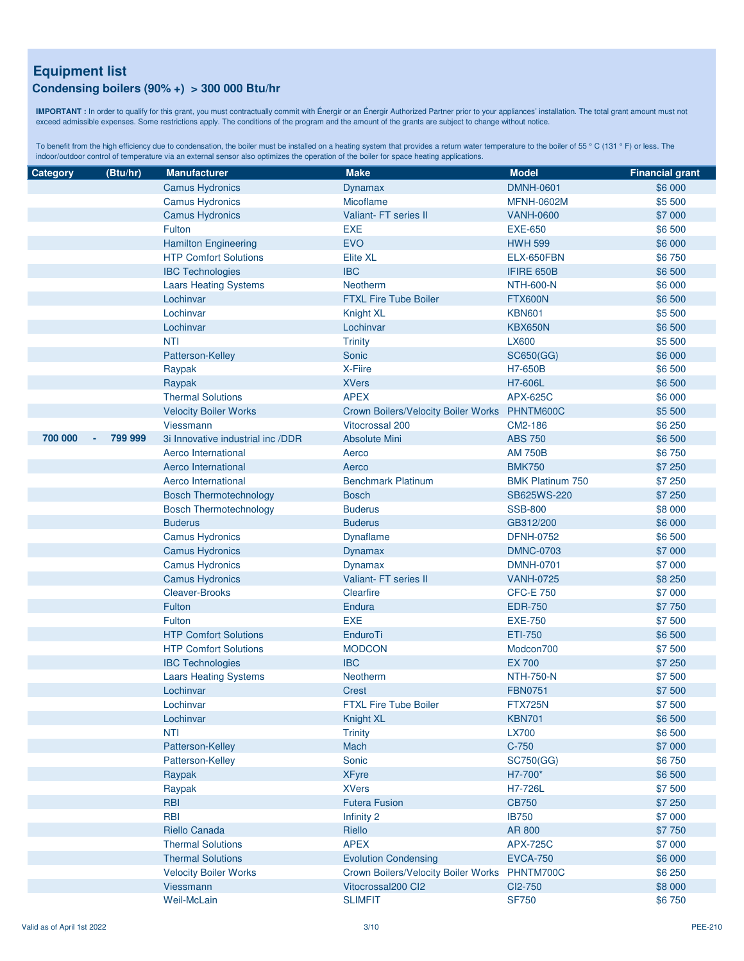### **Condensing boilers (90% +) > 300 000 Btu/hr**

**IMPORTANT :** In order to qualify for this grant, you must contractually commit with Énergir or an Énergir Authorized Partner prior to your appliances' installation. The total grant amount must not exceed admissible expenses. Some restrictions apply. The conditions of the program and the amount of the grants are subject to change without notice.

| Category | (Btu/hr)          | <b>Manufacturer</b>               | <b>Make</b>                                   | <b>Model</b>            | <b>Financial grant</b> |
|----------|-------------------|-----------------------------------|-----------------------------------------------|-------------------------|------------------------|
|          |                   | <b>Camus Hydronics</b>            | Dynamax                                       | <b>DMNH-0601</b>        | \$6 000                |
|          |                   | <b>Camus Hydronics</b>            | Micoflame                                     | <b>MFNH-0602M</b>       | \$5 500                |
|          |                   | <b>Camus Hydronics</b>            | Valiant- FT series II                         | <b>VANH-0600</b>        | \$7 000                |
|          |                   | Fulton                            | <b>EXE</b>                                    | <b>EXE-650</b>          | \$6 500                |
|          |                   | <b>Hamilton Engineering</b>       | <b>EVO</b>                                    | <b>HWH 599</b>          | \$6 000                |
|          |                   | <b>HTP Comfort Solutions</b>      | <b>Elite XL</b>                               | ELX-650FBN              | \$6750                 |
|          |                   | <b>IBC Technologies</b>           | <b>IBC</b>                                    | IFIRE 650B              | \$6 500                |
|          |                   | <b>Laars Heating Systems</b>      | <b>Neotherm</b>                               | <b>NTH-600-N</b>        | \$6 000                |
|          |                   | Lochinvar                         | <b>FTXL Fire Tube Boiler</b>                  | <b>FTX600N</b>          | \$6 500                |
|          |                   | Lochinvar                         | Knight XL                                     | <b>KBN601</b>           | \$5 500                |
|          |                   | Lochinvar                         | Lochinvar                                     | <b>KBX650N</b>          | \$6 500                |
|          |                   | <b>NTI</b>                        | <b>Trinity</b>                                | <b>LX600</b>            | \$5 500                |
|          |                   | Patterson-Kelley                  | Sonic                                         | SC650(GG)               | \$6 000                |
|          |                   | Raypak                            | X-Fiire                                       | H7-650B                 | \$6 500                |
|          |                   | Raypak                            | <b>XVers</b>                                  | H7-606L                 | \$6 500                |
|          |                   | <b>Thermal Solutions</b>          | <b>APEX</b>                                   | <b>APX-625C</b>         | \$6 000                |
|          |                   | <b>Velocity Boiler Works</b>      | Crown Boilers/Velocity Boiler Works PHNTM600C |                         | \$5 500                |
|          |                   | Viessmann                         | <b>Vitocrossal 200</b>                        | CM2-186                 | \$6 250                |
| 700 000  | 799 999<br>$\sim$ | 3i Innovative industrial inc /DDR | <b>Absolute Mini</b>                          | <b>ABS 750</b>          | \$6 500                |
|          |                   | Aerco International               | Aerco                                         | <b>AM 750B</b>          | \$6750                 |
|          |                   | Aerco International               | Aerco                                         | <b>BMK750</b>           | \$7 250                |
|          |                   | Aerco International               | <b>Benchmark Platinum</b>                     | <b>BMK Platinum 750</b> | \$7 250                |
|          |                   | <b>Bosch Thermotechnology</b>     | <b>Bosch</b>                                  | SB625WS-220             | \$7 250                |
|          |                   | <b>Bosch Thermotechnology</b>     | <b>Buderus</b>                                | <b>SSB-800</b>          | \$8 000                |
|          |                   | <b>Buderus</b>                    | <b>Buderus</b>                                | GB312/200               | \$6 000                |
|          |                   | <b>Camus Hydronics</b>            | Dynaflame                                     | <b>DFNH-0752</b>        | \$6 500                |
|          |                   | <b>Camus Hydronics</b>            | <b>Dynamax</b>                                | <b>DMNC-0703</b>        | \$7 000                |
|          |                   | <b>Camus Hydronics</b>            | <b>Dynamax</b>                                | <b>DMNH-0701</b>        | \$7 000                |
|          |                   | <b>Camus Hydronics</b>            | Valiant- FT series II                         | <b>VANH-0725</b>        | \$8 250                |
|          |                   | Cleaver-Brooks                    | Clearfire                                     | <b>CFC-E 750</b>        | \$7 000                |
|          |                   | Fulton                            | Endura                                        | <b>EDR-750</b>          | \$7 750                |
|          |                   | Fulton                            | <b>EXE</b>                                    | <b>EXE-750</b>          | \$7 500                |
|          |                   | <b>HTP Comfort Solutions</b>      | EnduroTi                                      | <b>ETI-750</b>          | \$6 500                |
|          |                   | <b>HTP Comfort Solutions</b>      | <b>MODCON</b>                                 | Modcon700               | \$7 500                |
|          |                   | <b>IBC Technologies</b>           | <b>IBC</b>                                    | <b>EX700</b>            | \$7 250                |
|          |                   | <b>Laars Heating Systems</b>      | Neotherm                                      | <b>NTH-750-N</b>        | \$7 500                |
|          |                   | Lochinvar                         | <b>Crest</b>                                  | <b>FBN0751</b>          | \$7500                 |
|          |                   | Lochinvar                         | <b>FTXL Fire Tube Boiler</b>                  | <b>FTX725N</b>          | \$7500                 |
|          |                   | Lochinvar                         | Knight XL                                     | <b>KBN701</b>           | \$6 500                |
|          |                   | <b>NTI</b>                        | <b>Trinity</b>                                | <b>LX700</b>            | \$6 500                |
|          |                   | Patterson-Kelley                  | Mach                                          | $C-750$                 | \$7 000                |
|          |                   | Patterson-Kelley                  | Sonic                                         | SC750(GG)               | \$6750                 |
|          |                   | Raypak                            | <b>XFyre</b>                                  | H7-700*                 | \$6 500                |
|          |                   | Raypak                            | <b>XVers</b>                                  | H7-726L                 | \$7500                 |
|          |                   | <b>RBI</b>                        | <b>Futera Fusion</b>                          | <b>CB750</b>            | \$7 250                |
|          |                   | <b>RBI</b>                        | Infinity 2                                    | <b>IB750</b>            | \$7 000                |
|          |                   | Riello Canada                     | Riello                                        | AR 800                  | \$7 750                |
|          |                   | <b>Thermal Solutions</b>          | <b>APEX</b>                                   | <b>APX-725C</b>         | \$7 000                |
|          |                   | <b>Thermal Solutions</b>          | <b>Evolution Condensing</b>                   | <b>EVCA-750</b>         | \$6 000                |
|          |                   | <b>Velocity Boiler Works</b>      | Crown Boilers/Velocity Boiler Works           | PHNTM700C               | \$6 250                |
|          |                   | Viessmann                         | Vitocrossal200 Cl2                            | CI2-750                 | \$8 000                |
|          |                   | Weil-McLain                       | <b>SLIMFIT</b>                                | <b>SF750</b>            | \$6750                 |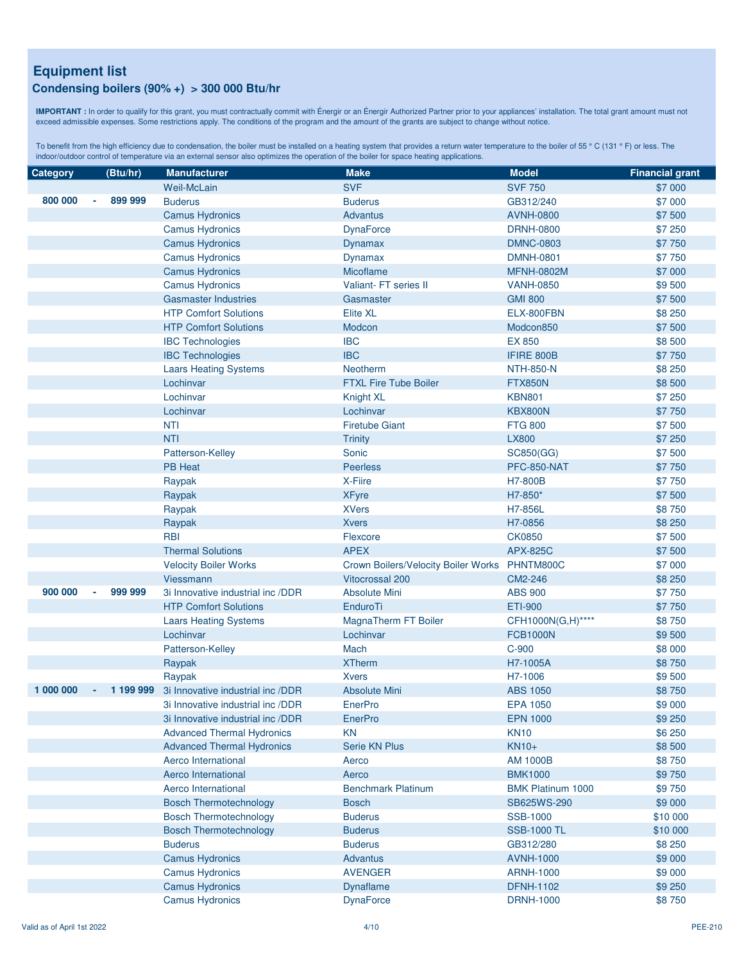#### **Condensing boilers (90% +) > 300 000 Btu/hr**

**IMPORTANT :** In order to qualify for this grant, you must contractually commit with Énergir or an Énergir Authorized Partner prior to your appliances' installation. The total grant amount must not exceed admissible expenses. Some restrictions apply. The conditions of the program and the amount of the grants are subject to change without notice.

| <b>Category</b> |    | (Btu/hr)  | <b>Manufacturer</b>               | <b>Make</b>                                   | <b>Model</b>             | <b>Financial grant</b> |
|-----------------|----|-----------|-----------------------------------|-----------------------------------------------|--------------------------|------------------------|
|                 |    |           | Weil-McLain                       | <b>SVF</b>                                    | <b>SVF 750</b>           | \$7 000                |
| 800 000         | ٠  | 899 999   | <b>Buderus</b>                    | <b>Buderus</b>                                | GB312/240                | \$7 000                |
|                 |    |           | <b>Camus Hydronics</b>            | <b>Advantus</b>                               | <b>AVNH-0800</b>         | \$7 500                |
|                 |    |           | <b>Camus Hydronics</b>            | <b>DynaForce</b>                              | <b>DRNH-0800</b>         | \$7 250                |
|                 |    |           | <b>Camus Hydronics</b>            | Dynamax                                       | <b>DMNC-0803</b>         | \$7 750                |
|                 |    |           | <b>Camus Hydronics</b>            | <b>Dynamax</b>                                | <b>DMNH-0801</b>         | \$7 750                |
|                 |    |           | <b>Camus Hydronics</b>            | Micoflame                                     | <b>MFNH-0802M</b>        | \$7 000                |
|                 |    |           | <b>Camus Hydronics</b>            | Valiant- FT series II                         | <b>VANH-0850</b>         | \$9500                 |
|                 |    |           | <b>Gasmaster Industries</b>       | Gasmaster                                     | <b>GMI 800</b>           | \$7 500                |
|                 |    |           | <b>HTP Comfort Solutions</b>      | <b>Elite XL</b>                               | ELX-800FBN               | \$8 250                |
|                 |    |           | <b>HTP Comfort Solutions</b>      | Modcon                                        | Modcon850                | \$7 500                |
|                 |    |           | <b>IBC Technologies</b>           | <b>IBC</b>                                    | <b>EX 850</b>            | \$8 500                |
|                 |    |           | <b>IBC Technologies</b>           | <b>IBC</b>                                    | IFIRE 800B               | \$7 750                |
|                 |    |           | <b>Laars Heating Systems</b>      | Neotherm                                      | <b>NTH-850-N</b>         | \$8 250                |
|                 |    |           | Lochinvar                         | <b>FTXL Fire Tube Boiler</b>                  | <b>FTX850N</b>           | \$8 500                |
|                 |    |           | Lochinvar                         | Knight XL                                     | <b>KBN801</b>            | \$7 250                |
|                 |    |           | Lochinvar                         | Lochinvar                                     | KBX800N                  | \$7 750                |
|                 |    |           | <b>NTI</b>                        | <b>Firetube Giant</b>                         | <b>FTG 800</b>           | \$7 500                |
|                 |    |           | <b>NTI</b>                        | <b>Trinity</b>                                | <b>LX800</b>             | \$7 250                |
|                 |    |           | Patterson-Kelley                  | Sonic                                         | SC850(GG)                | \$7 500                |
|                 |    |           | <b>PB Heat</b>                    | <b>Peerless</b>                               | <b>PFC-850-NAT</b>       | \$7 750                |
|                 |    |           | Raypak                            | X-Fiire                                       | H7-800B                  | \$7 750                |
|                 |    |           | Raypak                            | <b>XFyre</b>                                  | H7-850*                  | \$7500                 |
|                 |    |           | Raypak                            | <b>XVers</b>                                  | H7-856L                  | \$8750                 |
|                 |    |           | Raypak                            | <b>Xvers</b>                                  | H7-0856                  | \$8 250                |
|                 |    |           | <b>RBI</b>                        | Flexcore                                      | <b>CK0850</b>            | \$7 500                |
|                 |    |           | <b>Thermal Solutions</b>          | <b>APEX</b>                                   | <b>APX-825C</b>          | \$7 500                |
|                 |    |           | <b>Velocity Boiler Works</b>      | Crown Boilers/Velocity Boiler Works PHNTM800C |                          | \$7 000                |
|                 |    |           | Viessmann                         | Vitocrossal 200                               | CM2-246                  | \$8 250                |
| 900 000         | ×, | 999 999   | 3i Innovative industrial inc /DDR | <b>Absolute Mini</b>                          | <b>ABS 900</b>           | \$7 750                |
|                 |    |           | <b>HTP Comfort Solutions</b>      | EnduroTi                                      | <b>ETI-900</b>           | \$7 750                |
|                 |    |           | <b>Laars Heating Systems</b>      | MagnaTherm FT Boiler                          | CFH1000N(G,H)****        | \$8750                 |
|                 |    |           | Lochinvar                         | Lochinvar                                     | <b>FCB1000N</b>          | \$9500                 |
|                 |    |           | Patterson-Kelley                  | Mach                                          | C-900                    | \$8 000                |
|                 |    |           | Raypak                            | <b>XTherm</b>                                 | H7-1005A                 | \$8750                 |
|                 |    |           | Raypak                            | <b>Xvers</b>                                  | H7-1006                  | \$9500                 |
| 1 000 000       | ×, | 1 199 999 | 3i Innovative industrial inc /DDR | <b>Absolute Mini</b>                          | <b>ABS 1050</b>          | \$8750                 |
|                 |    |           | 3i Innovative industrial inc /DDR | <b>EnerPro</b>                                | <b>EPA 1050</b>          | \$9 000                |
|                 |    |           | 3i Innovative industrial inc /DDR | <b>EnerPro</b>                                | <b>EPN 1000</b>          | \$9 250                |
|                 |    |           | <b>Advanced Thermal Hydronics</b> | <b>KN</b>                                     | <b>KN10</b>              | \$6 250                |
|                 |    |           | <b>Advanced Thermal Hydronics</b> | Serie KN Plus                                 | KN10+                    | \$8 500                |
|                 |    |           | Aerco International               | Aerco                                         | <b>AM 1000B</b>          | \$8750                 |
|                 |    |           | Aerco International               | Aerco                                         | <b>BMK1000</b>           | \$9 750                |
|                 |    |           | Aerco International               | <b>Benchmark Platinum</b>                     | <b>BMK Platinum 1000</b> | \$9750                 |
|                 |    |           | <b>Bosch Thermotechnology</b>     | <b>Bosch</b>                                  | SB625WS-290              | \$9 000                |
|                 |    |           | <b>Bosch Thermotechnology</b>     | <b>Buderus</b>                                | SSB-1000                 | \$10 000               |
|                 |    |           | <b>Bosch Thermotechnology</b>     | <b>Buderus</b>                                | <b>SSB-1000 TL</b>       | \$10 000               |
|                 |    |           | <b>Buderus</b>                    | <b>Buderus</b>                                | GB312/280                | \$8 250                |
|                 |    |           | <b>Camus Hydronics</b>            | <b>Advantus</b>                               | <b>AVNH-1000</b>         | \$9 000                |
|                 |    |           | <b>Camus Hydronics</b>            | <b>AVENGER</b>                                | <b>ARNH-1000</b>         | \$9 000                |
|                 |    |           | <b>Camus Hydronics</b>            | Dynaflame                                     | <b>DFNH-1102</b>         | \$9 250                |
|                 |    |           | <b>Camus Hydronics</b>            | <b>DynaForce</b>                              | <b>DRNH-1000</b>         | \$8750                 |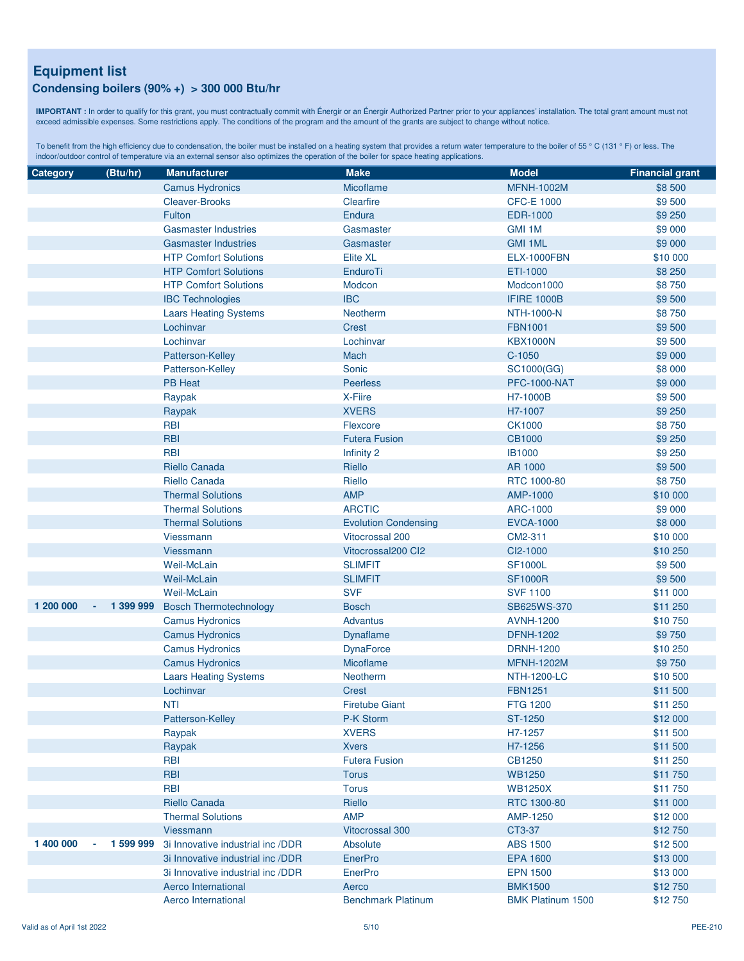#### **Condensing boilers (90% +) > 300 000 Btu/hr**

**IMPORTANT :** In order to qualify for this grant, you must contractually commit with Énergir or an Énergir Authorized Partner prior to your appliances' installation. The total grant amount must not exceed admissible expenses. Some restrictions apply. The conditions of the program and the amount of the grants are subject to change without notice.

| Category  | (Btu/hr)        | <b>Manufacturer</b>               | <b>Make</b>                 | <b>Model</b>             | <b>Financial grant</b> |
|-----------|-----------------|-----------------------------------|-----------------------------|--------------------------|------------------------|
|           |                 | <b>Camus Hydronics</b>            | Micoflame                   | <b>MFNH-1002M</b>        | \$8 500                |
|           |                 | <b>Cleaver-Brooks</b>             | Clearfire                   | <b>CFC-E 1000</b>        | \$9 500                |
|           |                 | Fulton                            | Endura                      | EDR-1000                 | \$9 250                |
|           |                 | <b>Gasmaster Industries</b>       | Gasmaster                   | GMI 1M                   | \$9 000                |
|           |                 | <b>Gasmaster Industries</b>       | Gasmaster                   | <b>GMI 1ML</b>           | \$9 000                |
|           |                 | <b>HTP Comfort Solutions</b>      | <b>Elite XL</b>             | <b>ELX-1000FBN</b>       | \$10 000               |
|           |                 | <b>HTP Comfort Solutions</b>      | EnduroTi                    | ETI-1000                 | \$8 250                |
|           |                 | <b>HTP Comfort Solutions</b>      | Modcon                      | Modcon1000               | \$8750                 |
|           |                 | <b>IBC Technologies</b>           | <b>IBC</b>                  | <b>IFIRE 1000B</b>       | \$9 500                |
|           |                 | <b>Laars Heating Systems</b>      | Neotherm                    | <b>NTH-1000-N</b>        | \$8750                 |
|           |                 | Lochinvar                         | <b>Crest</b>                | <b>FBN1001</b>           | \$9500                 |
|           |                 | Lochinvar                         | Lochinvar                   | <b>KBX1000N</b>          | \$9 500                |
|           |                 | Patterson-Kelley                  | Mach                        | $C-1050$                 | \$9 000                |
|           |                 | Patterson-Kelley                  | Sonic                       | SC1000(GG)               | \$8 000                |
|           |                 | <b>PB Heat</b>                    | <b>Peerless</b>             | <b>PFC-1000-NAT</b>      | \$9 000                |
|           |                 | Raypak                            | X-Fiire                     | H7-1000B                 | \$9 500                |
|           |                 | Raypak                            | <b>XVERS</b>                | H7-1007                  | \$9 250                |
|           |                 | <b>RBI</b>                        | Flexcore                    | <b>CK1000</b>            | \$8750                 |
|           |                 | <b>RBI</b>                        | <b>Futera Fusion</b>        | <b>CB1000</b>            | \$9 250                |
|           |                 | <b>RBI</b>                        | Infinity 2                  | <b>IB1000</b>            | \$9 250                |
|           |                 | Riello Canada                     | Riello                      | AR 1000                  | \$9500                 |
|           |                 | Riello Canada                     | Riello                      | RTC 1000-80              | \$8750                 |
|           |                 | <b>Thermal Solutions</b>          | <b>AMP</b>                  | AMP-1000                 | \$10 000               |
|           |                 | <b>Thermal Solutions</b>          | <b>ARCTIC</b>               | ARC-1000                 | \$9 000                |
|           |                 | <b>Thermal Solutions</b>          | <b>Evolution Condensing</b> | <b>EVCA-1000</b>         | \$8 000                |
|           |                 | Viessmann                         | <b>Vitocrossal 200</b>      | CM2-311                  | \$10 000               |
|           |                 | Viessmann                         | Vitocrossal200 Cl2          | CI2-1000                 | \$10 250               |
|           |                 | <b>Weil-McLain</b>                | <b>SLIMFIT</b>              | <b>SF1000L</b>           | \$9 500                |
|           |                 | <b>Weil-McLain</b>                | <b>SLIMFIT</b>              | <b>SF1000R</b>           | \$9 500                |
|           |                 | Weil-McLain                       | <b>SVF</b>                  | <b>SVF 1100</b>          | \$11 000               |
| 1 200 000 | 1 399 999       | <b>Bosch Thermotechnology</b>     | <b>Bosch</b>                | SB625WS-370              | \$11 250               |
|           |                 | <b>Camus Hydronics</b>            | <b>Advantus</b>             | <b>AVNH-1200</b>         | \$10750                |
|           |                 | <b>Camus Hydronics</b>            | Dynaflame                   | <b>DFNH-1202</b>         | \$9 750                |
|           |                 | <b>Camus Hydronics</b>            | <b>DynaForce</b>            | <b>DRNH-1200</b>         | \$10 250               |
|           |                 | <b>Camus Hydronics</b>            | Micoflame                   | <b>MFNH-1202M</b>        | \$9 750                |
|           |                 | <b>Laars Heating Systems</b>      | Neotherm                    | <b>NTH-1200-LC</b>       | \$10 500               |
|           |                 | Lochinvar                         | <b>Crest</b>                | <b>FBN1251</b>           | \$11 500               |
|           |                 | <b>NTI</b>                        | <b>Firetube Giant</b>       | <b>FTG 1200</b>          | \$11 250               |
|           |                 | Patterson-Kelley                  | P-K Storm                   | ST-1250                  | \$12 000               |
|           |                 | Raypak                            | <b>XVERS</b>                | H7-1257                  | \$11 500               |
|           |                 | Raypak                            | <b>Xvers</b>                | H7-1256                  | \$11 500               |
|           |                 | <b>RBI</b>                        | <b>Futera Fusion</b>        | CB1250                   | \$11 250               |
|           |                 | <b>RBI</b>                        | <b>Torus</b>                | <b>WB1250</b>            | \$11 750               |
|           |                 | <b>RBI</b>                        | <b>Torus</b>                | <b>WB1250X</b>           | \$11750                |
|           |                 | Riello Canada                     | Riello                      | RTC 1300-80              | \$11 000               |
|           |                 | <b>Thermal Solutions</b>          | <b>AMP</b>                  | AMP-1250                 | \$12 000               |
|           |                 | Viessmann                         | <b>Vitocrossal 300</b>      | CT3-37                   | \$12750                |
| 1 400 000 | 1 599 999<br>×, | 3i Innovative industrial inc /DDR | Absolute                    | <b>ABS 1500</b>          | \$12 500               |
|           |                 | 3i Innovative industrial inc /DDR | <b>EnerPro</b>              | <b>EPA 1600</b>          | \$13 000               |
|           |                 | 3i Innovative industrial inc /DDR | <b>EnerPro</b>              | <b>EPN 1500</b>          | \$13 000               |
|           |                 | Aerco International               | Aerco                       | <b>BMK1500</b>           | \$12750                |
|           |                 | Aerco International               | <b>Benchmark Platinum</b>   | <b>BMK Platinum 1500</b> | \$12 750               |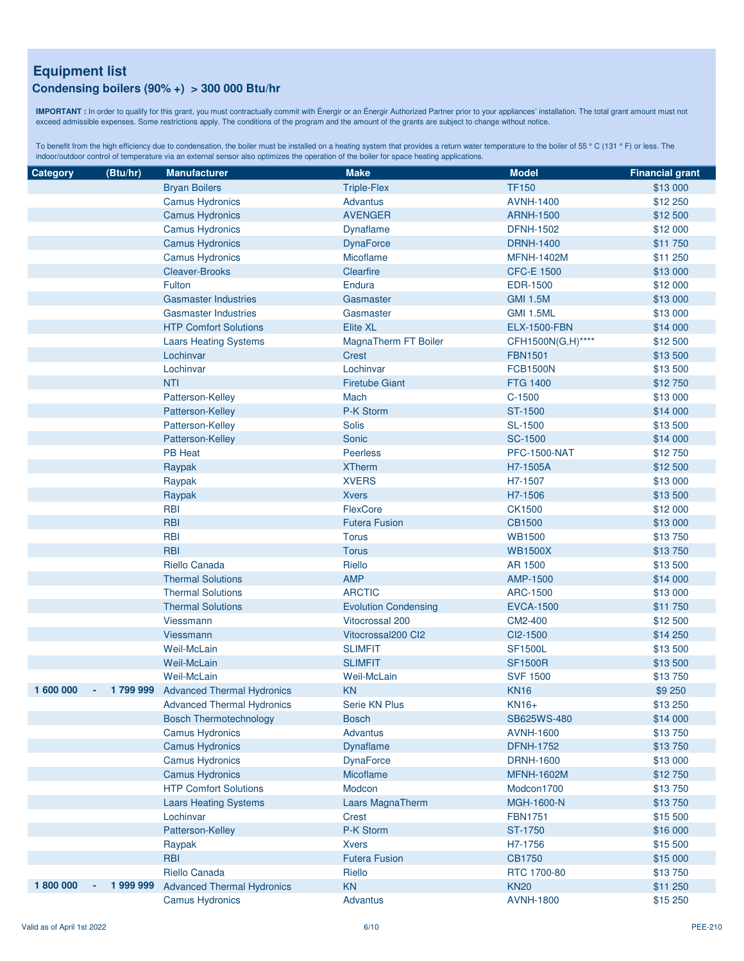#### **Condensing boilers (90% +) > 300 000 Btu/hr**

**IMPORTANT :** In order to qualify for this grant, you must contractually commit with Énergir or an Énergir Authorized Partner prior to your appliances' installation. The total grant amount must not exceed admissible expenses. Some restrictions apply. The conditions of the program and the amount of the grants are subject to change without notice.

| Category  | (Btu/hr)     | <b>Manufacturer</b>               | <b>Make</b>                 | <b>Model</b>        | <b>Financial grant</b> |
|-----------|--------------|-----------------------------------|-----------------------------|---------------------|------------------------|
|           |              | <b>Bryan Boilers</b>              | <b>Triple-Flex</b>          | <b>TF150</b>        | \$13 000               |
|           |              | <b>Camus Hydronics</b>            | <b>Advantus</b>             | <b>AVNH-1400</b>    | \$12 250               |
|           |              | <b>Camus Hydronics</b>            | <b>AVENGER</b>              | <b>ARNH-1500</b>    | \$12 500               |
|           |              | <b>Camus Hydronics</b>            | Dynaflame                   | <b>DFNH-1502</b>    | \$12 000               |
|           |              | <b>Camus Hydronics</b>            | <b>DynaForce</b>            | <b>DRNH-1400</b>    | \$11750                |
|           |              | <b>Camus Hydronics</b>            | Micoflame                   | <b>MFNH-1402M</b>   | \$11 250               |
|           |              | <b>Cleaver-Brooks</b>             | Clearfire                   | <b>CFC-E 1500</b>   | \$13 000               |
|           |              | Fulton                            | Endura                      | <b>EDR-1500</b>     | \$12 000               |
|           |              | <b>Gasmaster Industries</b>       | Gasmaster                   | <b>GMI 1.5M</b>     | \$13 000               |
|           |              | <b>Gasmaster Industries</b>       | Gasmaster                   | <b>GMI 1.5ML</b>    | \$13 000               |
|           |              | <b>HTP Comfort Solutions</b>      | <b>Elite XL</b>             | <b>ELX-1500-FBN</b> | \$14 000               |
|           |              | <b>Laars Heating Systems</b>      | MagnaTherm FT Boiler        | CFH1500N(G,H)****   | \$12 500               |
|           |              | Lochinvar                         | <b>Crest</b>                | <b>FBN1501</b>      | \$13 500               |
|           |              | Lochinvar                         | Lochinvar                   | <b>FCB1500N</b>     | \$13 500               |
|           |              | <b>NTI</b>                        | <b>Firetube Giant</b>       | <b>FTG 1400</b>     | \$12750                |
|           |              | Patterson-Kelley                  | Mach                        | $C-1500$            | \$13 000               |
|           |              | Patterson-Kelley                  | P-K Storm                   | ST-1500             | \$14 000               |
|           |              | Patterson-Kelley                  | <b>Solis</b>                | <b>SL-1500</b>      | \$13 500               |
|           |              | Patterson-Kelley                  | Sonic                       | <b>SC-1500</b>      | \$14 000               |
|           |              | <b>PB Heat</b>                    | <b>Peerless</b>             | <b>PFC-1500-NAT</b> | \$12 750               |
|           |              | Raypak                            | <b>XTherm</b>               | H7-1505A            | \$12 500               |
|           |              | Raypak                            | <b>XVERS</b>                | H7-1507             | \$13 000               |
|           |              | Raypak                            | <b>Xvers</b>                | H7-1506             | \$13 500               |
|           |              | <b>RBI</b>                        | FlexCore                    | <b>CK1500</b>       | \$12 000               |
|           |              | <b>RBI</b>                        | <b>Futera Fusion</b>        | <b>CB1500</b>       | \$13 000               |
|           |              | <b>RBI</b>                        | <b>Torus</b>                | <b>WB1500</b>       | \$13750                |
|           |              | <b>RBI</b>                        | <b>Torus</b>                | <b>WB1500X</b>      | \$13750                |
|           |              | Riello Canada                     | Riello                      | AR 1500             | \$13 500               |
|           |              | <b>Thermal Solutions</b>          | <b>AMP</b>                  | AMP-1500            | \$14 000               |
|           |              | <b>Thermal Solutions</b>          | <b>ARCTIC</b>               | ARC-1500            | \$13 000               |
|           |              | <b>Thermal Solutions</b>          | <b>Evolution Condensing</b> | <b>EVCA-1500</b>    | \$11 750               |
|           |              | Viessmann                         | Vitocrossal 200             | CM2-400             | \$12 500               |
|           |              | Viessmann                         | Vitocrossal200 Cl2          | CI2-1500            | \$14 250               |
|           |              | Weil-McLain                       | <b>SLIMFIT</b>              | <b>SF1500L</b>      | \$13 500               |
|           |              | <b>Weil-McLain</b>                | <b>SLIMFIT</b>              | <b>SF1500R</b>      | \$13 500               |
|           |              | Weil-McLain                       | <b>Weil-McLain</b>          | <b>SVF 1500</b>     | \$13750                |
| 1 600 000 | 1799999<br>× | <b>Advanced Thermal Hydronics</b> | <b>KN</b>                   | <b>KN16</b>         | \$9 250                |
|           |              | <b>Advanced Thermal Hydronics</b> | <b>Serie KN Plus</b>        | KN16+               | \$13 250               |
|           |              | <b>Bosch Thermotechnology</b>     | <b>Bosch</b>                | SB625WS-480         | \$14 000               |
|           |              | <b>Camus Hydronics</b>            | Advantus                    | <b>AVNH-1600</b>    | \$13750                |
|           |              | <b>Camus Hydronics</b>            | <b>Dynaflame</b>            | <b>DFNH-1752</b>    | \$13750                |
|           |              | <b>Camus Hydronics</b>            | <b>DynaForce</b>            | <b>DRNH-1600</b>    | \$13 000               |
|           |              | <b>Camus Hydronics</b>            | Micoflame                   | <b>MFNH-1602M</b>   | \$12750                |
|           |              | <b>HTP Comfort Solutions</b>      | Modcon                      | Modcon1700          | \$13750                |
|           |              | <b>Laars Heating Systems</b>      | Laars MagnaTherm            | MGH-1600-N          | \$13750                |
|           |              | Lochinvar                         | <b>Crest</b>                | <b>FBN1751</b>      | \$15 500               |
|           |              | Patterson-Kelley                  | P-K Storm                   | ST-1750             | \$16 000               |
|           |              | Raypak                            | <b>Xvers</b>                | H7-1756             | \$15 500               |
|           |              | <b>RBI</b>                        | <b>Futera Fusion</b>        | CB1750              | \$15 000               |
|           |              | Riello Canada                     | Riello                      | RTC 1700-80         | \$13750                |
| 1800000   | 1 999 999    | <b>Advanced Thermal Hydronics</b> | <b>KN</b>                   | <b>KN20</b>         | \$11 250               |
|           |              | <b>Camus Hydronics</b>            | Advantus                    | <b>AVNH-1800</b>    | \$15 250               |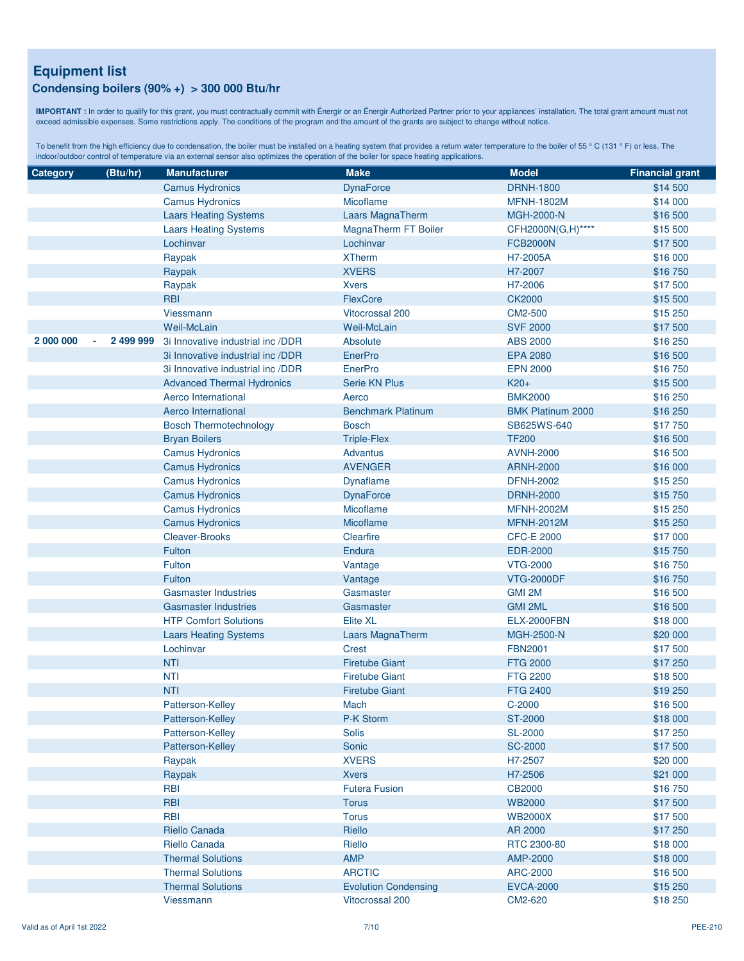#### **Condensing boilers (90% +) > 300 000 Btu/hr**

**IMPORTANT :** In order to qualify for this grant, you must contractually commit with Énergir or an Énergir Authorized Partner prior to your appliances' installation. The total grant amount must not exceed admissible expenses. Some restrictions apply. The conditions of the program and the amount of the grants are subject to change without notice.

| Category  | (Btu/hr)  | <b>Manufacturer</b>               | <b>Make</b>                 | <b>Model</b>             | <b>Financial grant</b> |
|-----------|-----------|-----------------------------------|-----------------------------|--------------------------|------------------------|
|           |           | <b>Camus Hydronics</b>            | <b>DynaForce</b>            | <b>DRNH-1800</b>         | \$14 500               |
|           |           | <b>Camus Hydronics</b>            | Micoflame                   | <b>MFNH-1802M</b>        | \$14 000               |
|           |           | <b>Laars Heating Systems</b>      | Laars MagnaTherm            | <b>MGH-2000-N</b>        | \$16 500               |
|           |           | <b>Laars Heating Systems</b>      | MagnaTherm FT Boiler        | CFH2000N(G,H)****        | \$15 500               |
|           |           | Lochinvar                         | Lochinvar                   | <b>FCB2000N</b>          | \$17500                |
|           |           | Raypak                            | <b>XTherm</b>               | H7-2005A                 | \$16 000               |
|           |           | Raypak                            | <b>XVERS</b>                | H7-2007                  | \$16750                |
|           |           | Raypak                            | <b>Xvers</b>                | H7-2006                  | \$17500                |
|           |           | <b>RBI</b>                        | FlexCore                    | <b>CK2000</b>            | \$15 500               |
|           |           | Viessmann                         | <b>Vitocrossal 200</b>      | CM2-500                  | \$15 250               |
|           |           | <b>Weil-McLain</b>                | <b>Weil-McLain</b>          | <b>SVF 2000</b>          | \$17500                |
| 2 000 000 | 2 499 999 | 3i Innovative industrial inc /DDR | Absolute                    | <b>ABS 2000</b>          | \$16 250               |
|           |           | 3i Innovative industrial inc /DDR | EnerPro                     | <b>EPA 2080</b>          | \$16 500               |
|           |           | 3i Innovative industrial inc /DDR | <b>EnerPro</b>              | <b>EPN 2000</b>          | \$16750                |
|           |           | <b>Advanced Thermal Hydronics</b> | <b>Serie KN Plus</b>        | $K20+$                   | \$15 500               |
|           |           | Aerco International               | Aerco                       | <b>BMK2000</b>           | \$16 250               |
|           |           | Aerco International               | <b>Benchmark Platinum</b>   | <b>BMK Platinum 2000</b> | \$16 250               |
|           |           | <b>Bosch Thermotechnology</b>     | <b>Bosch</b>                | SB625WS-640              | \$17750                |
|           |           | <b>Bryan Boilers</b>              | <b>Triple-Flex</b>          | <b>TF200</b>             | \$16 500               |
|           |           | <b>Camus Hydronics</b>            | <b>Advantus</b>             | <b>AVNH-2000</b>         | \$16 500               |
|           |           | <b>Camus Hydronics</b>            | <b>AVENGER</b>              | <b>ARNH-2000</b>         | \$16 000               |
|           |           | <b>Camus Hydronics</b>            | <b>Dynaflame</b>            | <b>DFNH-2002</b>         | \$15 250               |
|           |           | <b>Camus Hydronics</b>            | <b>DynaForce</b>            | <b>DRNH-2000</b>         | \$15750                |
|           |           | <b>Camus Hydronics</b>            | Micoflame                   | <b>MFNH-2002M</b>        | \$15 250               |
|           |           | <b>Camus Hydronics</b>            | <b>Micoflame</b>            | <b>MFNH-2012M</b>        | \$15 250               |
|           |           | <b>Cleaver-Brooks</b>             | Clearfire                   | <b>CFC-E 2000</b>        | \$17 000               |
|           |           | Fulton                            | <b>Endura</b>               | <b>EDR-2000</b>          | \$15750                |
|           |           | Fulton                            | Vantage                     | <b>VTG-2000</b>          | \$16750                |
|           |           | Fulton                            | Vantage                     | <b>VTG-2000DF</b>        | \$16750                |
|           |           | <b>Gasmaster Industries</b>       | Gasmaster                   | GMI 2M                   | \$16 500               |
|           |           | <b>Gasmaster Industries</b>       | Gasmaster                   | <b>GMI 2ML</b>           | \$16 500               |
|           |           | <b>HTP Comfort Solutions</b>      | <b>Elite XL</b>             | <b>ELX-2000FBN</b>       | \$18 000               |
|           |           | <b>Laars Heating Systems</b>      | Laars MagnaTherm            | MGH-2500-N               | \$20 000               |
|           |           | Lochinvar                         | <b>Crest</b>                | <b>FBN2001</b>           | \$17500                |
|           |           | <b>NTI</b>                        | <b>Firetube Giant</b>       | <b>FTG 2000</b>          | \$17 250               |
|           |           | <b>NTI</b>                        | <b>Firetube Giant</b>       | <b>FTG 2200</b>          | \$18 500               |
|           |           | <b>NTI</b>                        | <b>Firetube Giant</b>       | <b>FTG 2400</b>          | \$19 250               |
|           |           | Patterson-Kelley                  | Mach                        | C-2000                   | \$16 500               |
|           |           | Patterson-Kelley                  | P-K Storm                   | <b>ST-2000</b>           | \$18 000               |
|           |           | Patterson-Kelley                  | Solis                       | <b>SL-2000</b>           | \$17 250               |
|           |           | Patterson-Kelley                  | Sonic                       | <b>SC-2000</b>           | \$17500                |
|           |           | Raypak                            | <b>XVERS</b>                | H7-2507                  | \$20 000               |
|           |           | Raypak                            | <b>Xvers</b>                | H7-2506                  | \$21 000               |
|           |           | <b>RBI</b>                        | <b>Futera Fusion</b>        | <b>CB2000</b>            | \$16750                |
|           |           | <b>RBI</b>                        | <b>Torus</b>                | <b>WB2000</b>            | \$17500                |
|           |           | <b>RBI</b>                        | <b>Torus</b>                | <b>WB2000X</b>           | \$17 500               |
|           |           | <b>Riello Canada</b>              | Riello                      | AR 2000                  | \$17 250               |
|           |           | Riello Canada                     | Riello                      | RTC 2300-80              | \$18 000               |
|           |           | <b>Thermal Solutions</b>          | <b>AMP</b>                  | AMP-2000                 | \$18 000               |
|           |           | <b>Thermal Solutions</b>          | <b>ARCTIC</b>               | ARC-2000                 | \$16 500               |
|           |           | <b>Thermal Solutions</b>          | <b>Evolution Condensing</b> | <b>EVCA-2000</b>         | \$15 250               |
|           |           | Viessmann                         | Vitocrossal 200             | CM2-620                  | \$18 250               |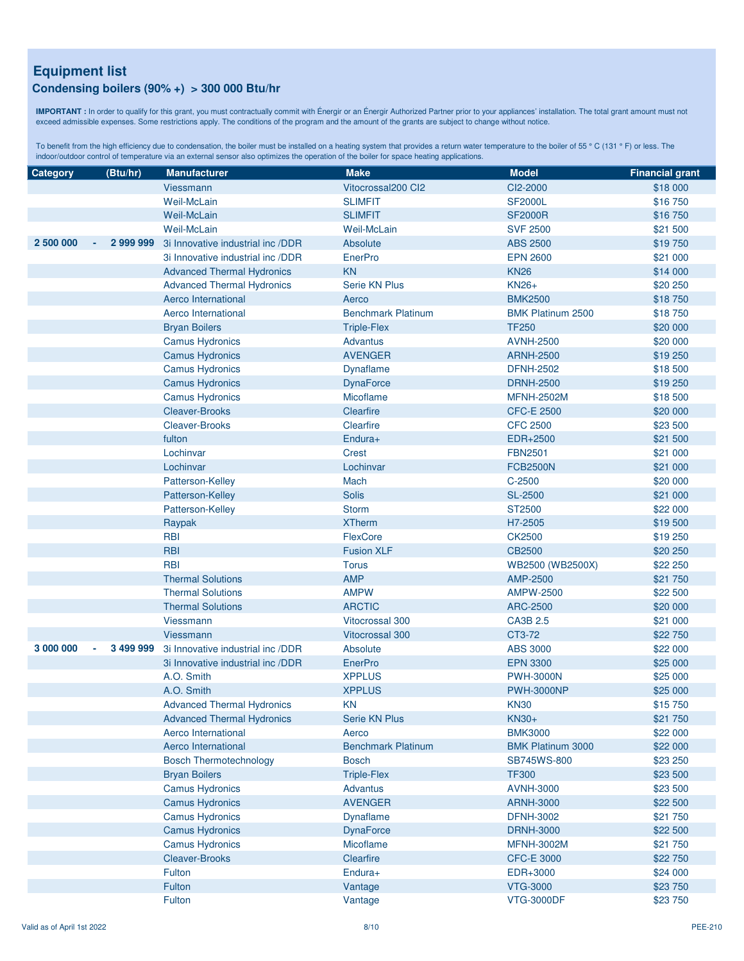#### **Condensing boilers (90% +) > 300 000 Btu/hr**

**IMPORTANT :** In order to qualify for this grant, you must contractually commit with Énergir or an Énergir Authorized Partner prior to your appliances' installation. The total grant amount must not exceed admissible expenses. Some restrictions apply. The conditions of the program and the amount of the grants are subject to change without notice.

| <b>Category</b>     | (Btu/hr)  | <b>Manufacturer</b>               | <b>Make</b>               | <b>Model</b>                  | <b>Financial grant</b> |
|---------------------|-----------|-----------------------------------|---------------------------|-------------------------------|------------------------|
|                     |           | <b>Viessmann</b>                  | Vitocrossal200 Cl2        | CI2-2000                      | \$18 000               |
|                     |           | <b>Weil-McLain</b>                | <b>SLIMFIT</b>            | <b>SF2000L</b>                | \$16 750               |
|                     |           | Weil-McLain                       | <b>SLIMFIT</b>            | <b>SF2000R</b>                | \$16750                |
|                     |           | <b>Weil-McLain</b>                | Weil-McLain               | <b>SVF 2500</b>               | \$21 500               |
| 2 500 000           | 2 999 999 | 3i Innovative industrial inc /DDR | Absolute                  | <b>ABS 2500</b>               | \$19750                |
|                     |           | 3i Innovative industrial inc /DDR | EnerPro                   | <b>EPN 2600</b>               | \$21 000               |
|                     |           | <b>Advanced Thermal Hydronics</b> | <b>KN</b>                 | <b>KN26</b>                   | \$14 000               |
|                     |           | <b>Advanced Thermal Hydronics</b> | <b>Serie KN Plus</b>      | <b>KN26+</b>                  | \$20 250               |
|                     |           | Aerco International               | Aerco                     | <b>BMK2500</b>                | \$18750                |
|                     |           | Aerco International               | <b>Benchmark Platinum</b> | <b>BMK Platinum 2500</b>      | \$18750                |
|                     |           | <b>Bryan Boilers</b>              | <b>Triple-Flex</b>        | <b>TF250</b>                  | \$20 000               |
|                     |           | <b>Camus Hydronics</b>            | <b>Advantus</b>           | <b>AVNH-2500</b>              | \$20 000               |
|                     |           | <b>Camus Hydronics</b>            | <b>AVENGER</b>            | <b>ARNH-2500</b>              | \$19 250               |
|                     |           | <b>Camus Hydronics</b>            | <b>Dynaflame</b>          | <b>DFNH-2502</b>              | \$18 500               |
|                     |           | <b>Camus Hydronics</b>            | <b>DynaForce</b>          | <b>DRNH-2500</b>              | \$19 250               |
|                     |           | <b>Camus Hydronics</b>            | Micoflame                 | <b>MFNH-2502M</b>             | \$18 500               |
|                     |           | <b>Cleaver-Brooks</b>             | Clearfire                 | <b>CFC-E 2500</b>             | \$20 000               |
|                     |           | <b>Cleaver-Brooks</b>             | Clearfire                 | <b>CFC 2500</b>               | \$23 500               |
|                     |           | fulton                            | $Endura+$                 | EDR+2500                      | \$21 500               |
|                     |           | Lochinvar                         | <b>Crest</b>              | <b>FBN2501</b>                | \$21 000               |
|                     |           | Lochinvar                         | Lochinvar                 | <b>FCB2500N</b>               | \$21 000               |
|                     |           | Patterson-Kelley                  | Mach                      | $C-2500$                      | \$20 000               |
|                     |           | Patterson-Kelley                  | <b>Solis</b>              | <b>SL-2500</b>                | \$21 000               |
|                     |           | Patterson-Kelley                  | <b>Storm</b>              | ST2500                        | \$22 000               |
|                     |           | Raypak                            | <b>XTherm</b>             | H7-2505                       | \$19500                |
|                     |           | <b>RBI</b>                        | FlexCore                  | CK2500                        | \$19 250               |
|                     |           | <b>RBI</b>                        | <b>Fusion XLF</b>         | <b>CB2500</b>                 | \$20 250               |
|                     |           | <b>RBI</b>                        | <b>Torus</b>              | WB2500 (WB2500X)              | \$22 250               |
|                     |           | <b>Thermal Solutions</b>          | <b>AMP</b>                | AMP-2500                      | \$21 750               |
|                     |           | <b>Thermal Solutions</b>          | <b>AMPW</b>               | <b>AMPW-2500</b>              | \$22 500               |
|                     |           | <b>Thermal Solutions</b>          | <b>ARCTIC</b>             | <b>ARC-2500</b>               | \$20 000               |
|                     |           | Viessmann                         | <b>Vitocrossal 300</b>    | CA3B 2.5                      | \$21 000               |
|                     |           | Viessmann                         | <b>Vitocrossal 300</b>    | CT3-72                        | \$22 750               |
| 3 000 000<br>$\sim$ | 3 499 999 | 3i Innovative industrial inc /DDR | Absolute                  | <b>ABS 3000</b>               | \$22 000               |
|                     |           | 3i Innovative industrial inc /DDR | <b>EnerPro</b>            | <b>EPN 3300</b>               | \$25 000               |
|                     |           | A.O. Smith                        | <b>XPPLUS</b>             | <b>PWH-3000N</b>              | \$25 000               |
|                     |           | A.O. Smith                        | <b>XPPLUS</b>             | <b>PWH-3000NP</b>             | \$25 000               |
|                     |           | <b>Advanced Thermal Hydronics</b> | <b>KN</b>                 | <b>KN30</b>                   | \$15750                |
|                     |           | <b>Advanced Thermal Hydronics</b> | Serie KN Plus             | KN30+                         | \$21 750               |
|                     |           | Aerco International               | Aerco                     | <b>BMK3000</b>                | \$22 000               |
|                     |           | Aerco International               | <b>Benchmark Platinum</b> | <b>BMK Platinum 3000</b>      | \$22 000               |
|                     |           | <b>Bosch Thermotechnology</b>     | <b>Bosch</b>              | <b>SB745WS-800</b>            | \$23 250               |
|                     |           | <b>Bryan Boilers</b>              | <b>Triple-Flex</b>        | <b>TF300</b>                  | \$23 500               |
|                     |           | <b>Camus Hydronics</b>            | <b>Advantus</b>           | <b>AVNH-3000</b>              | \$23 500               |
|                     |           | <b>Camus Hydronics</b>            | <b>AVENGER</b>            | <b>ARNH-3000</b>              | \$22 500               |
|                     |           | <b>Camus Hydronics</b>            | <b>Dynaflame</b>          | <b>DFNH-3002</b>              | \$21 750               |
|                     |           | <b>Camus Hydronics</b>            | <b>DynaForce</b>          | <b>DRNH-3000</b>              | \$22 500               |
|                     |           | <b>Camus Hydronics</b>            | Micoflame                 | <b>MFNH-3002M</b>             | \$21 750               |
|                     |           | <b>Cleaver-Brooks</b><br>Fulton   | Clearfire<br>Endura+      | <b>CFC-E 3000</b><br>EDR+3000 | \$22 750               |
|                     |           | Fulton                            | Vantage                   | <b>VTG-3000</b>               | \$24 000<br>\$23 750   |
|                     |           | Fulton                            | Vantage                   | <b>VTG-3000DF</b>             | \$23 750               |
|                     |           |                                   |                           |                               |                        |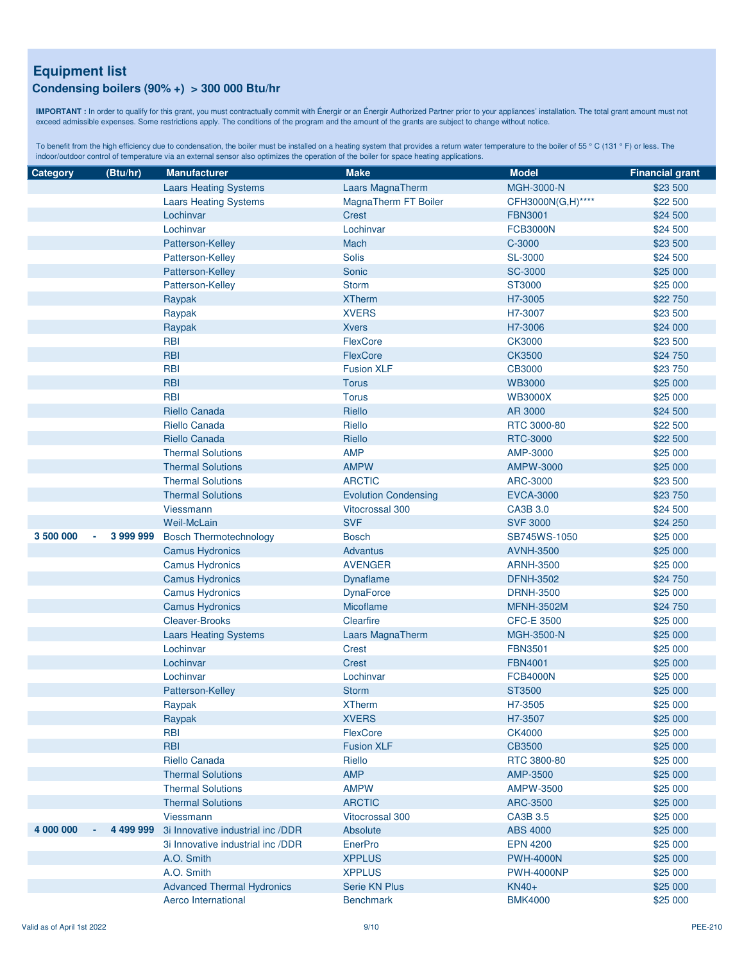#### **Condensing boilers (90% +) > 300 000 Btu/hr**

**IMPORTANT :** In order to qualify for this grant, you must contractually commit with Énergir or an Énergir Authorized Partner prior to your appliances' installation. The total grant amount must not exceed admissible expenses. Some restrictions apply. The conditions of the program and the amount of the grants are subject to change without notice.

| Category  | (Btu/hr)            | <b>Manufacturer</b>               | <b>Make</b>                 | <b>Model</b>      | <b>Financial grant</b> |
|-----------|---------------------|-----------------------------------|-----------------------------|-------------------|------------------------|
|           |                     | <b>Laars Heating Systems</b>      | Laars MagnaTherm            | MGH-3000-N        | \$23 500               |
|           |                     | <b>Laars Heating Systems</b>      | MagnaTherm FT Boiler        | CFH3000N(G,H)**** | \$22 500               |
|           |                     | Lochinvar                         | <b>Crest</b>                | <b>FBN3001</b>    | \$24 500               |
|           |                     | Lochinvar                         | Lochinvar                   | <b>FCB3000N</b>   | \$24 500               |
|           |                     | Patterson-Kelley                  | Mach                        | C-3000            | \$23 500               |
|           |                     | Patterson-Kelley                  | <b>Solis</b>                | <b>SL-3000</b>    | \$24 500               |
|           |                     | Patterson-Kelley                  | Sonic                       | <b>SC-3000</b>    | \$25 000               |
|           |                     | Patterson-Kelley                  | <b>Storm</b>                | ST3000            | \$25 000               |
|           |                     | Raypak                            | <b>XTherm</b>               | H7-3005           | \$22 750               |
|           |                     | Raypak                            | <b>XVERS</b>                | H7-3007           | \$23 500               |
|           |                     | Raypak                            | <b>Xvers</b>                | H7-3006           | \$24 000               |
|           |                     | <b>RBI</b>                        | FlexCore                    | <b>CK3000</b>     | \$23 500               |
|           |                     | <b>RBI</b>                        | FlexCore                    | <b>CK3500</b>     | \$24 750               |
|           |                     | <b>RBI</b>                        | <b>Fusion XLF</b>           | CB3000            | \$23 750               |
|           |                     | <b>RBI</b>                        | <b>Torus</b>                | <b>WB3000</b>     | \$25 000               |
|           |                     | <b>RBI</b>                        | <b>Torus</b>                | <b>WB3000X</b>    | \$25 000               |
|           |                     | Riello Canada                     | Riello                      | AR 3000           | \$24 500               |
|           |                     | Riello Canada                     | Riello                      | RTC 3000-80       | \$22 500               |
|           |                     | <b>Riello Canada</b>              | Riello                      | RTC-3000          | \$22 500               |
|           |                     | <b>Thermal Solutions</b>          | <b>AMP</b>                  | AMP-3000          | \$25 000               |
|           |                     | <b>Thermal Solutions</b>          | <b>AMPW</b>                 | <b>AMPW-3000</b>  | \$25 000               |
|           |                     | <b>Thermal Solutions</b>          | <b>ARCTIC</b>               | ARC-3000          | \$23 500               |
|           |                     | <b>Thermal Solutions</b>          | <b>Evolution Condensing</b> | <b>EVCA-3000</b>  | \$23 750               |
|           |                     | Viessmann                         | <b>Vitocrossal 300</b>      | CA3B 3.0          | \$24 500               |
|           |                     | <b>Weil-McLain</b>                | <b>SVF</b>                  | <b>SVF 3000</b>   | \$24 250               |
| 3 500 000 | 3 999 999<br>$\sim$ | <b>Bosch Thermotechnology</b>     | <b>Bosch</b>                | SB745WS-1050      | \$25 000               |
|           |                     | <b>Camus Hydronics</b>            | <b>Advantus</b>             | <b>AVNH-3500</b>  | \$25 000               |
|           |                     | <b>Camus Hydronics</b>            | <b>AVENGER</b>              | <b>ARNH-3500</b>  | \$25 000               |
|           |                     | <b>Camus Hydronics</b>            | Dynaflame                   | <b>DFNH-3502</b>  | \$24 750               |
|           |                     | <b>Camus Hydronics</b>            | <b>DynaForce</b>            | <b>DRNH-3500</b>  | \$25 000               |
|           |                     | <b>Camus Hydronics</b>            | Micoflame                   | <b>MFNH-3502M</b> | \$24 750               |
|           |                     | <b>Cleaver-Brooks</b>             | Clearfire                   | <b>CFC-E 3500</b> | \$25 000               |
|           |                     | <b>Laars Heating Systems</b>      | Laars MagnaTherm            | MGH-3500-N        | \$25 000               |
|           |                     | Lochinvar                         | Crest                       | <b>FBN3501</b>    | \$25 000               |
|           |                     | Lochinvar                         | <b>Crest</b>                | <b>FBN4001</b>    | \$25 000               |
|           |                     | Lochinvar                         | Lochinvar                   | <b>FCB4000N</b>   | \$25 000               |
|           |                     | Patterson-Kelley                  | <b>Storm</b>                | ST3500            | \$25 000               |
|           |                     | Raypak                            | <b>XTherm</b>               | H7-3505           | \$25 000               |
|           |                     | Raypak                            | <b>XVERS</b>                | H7-3507           | \$25 000               |
|           |                     | <b>RBI</b>                        | FlexCore                    | <b>CK4000</b>     | \$25 000               |
|           |                     | <b>RBI</b>                        | <b>Fusion XLF</b>           | <b>CB3500</b>     | \$25 000               |
|           |                     | Riello Canada                     | Riello                      | RTC 3800-80       | \$25 000               |
|           |                     | <b>Thermal Solutions</b>          | <b>AMP</b>                  | AMP-3500          | \$25 000               |
|           |                     | <b>Thermal Solutions</b>          | <b>AMPW</b>                 | AMPW-3500         | \$25 000               |
|           |                     | <b>Thermal Solutions</b>          | <b>ARCTIC</b>               | ARC-3500          | \$25 000               |
|           |                     | <b>Viessmann</b>                  | <b>Vitocrossal 300</b>      | CA3B 3.5          | \$25 000               |
| 4 000 000 | 4 499 999           | 3i Innovative industrial inc /DDR | Absolute                    | <b>ABS 4000</b>   | \$25 000               |
|           |                     | 3i Innovative industrial inc /DDR | EnerPro                     | <b>EPN 4200</b>   | \$25 000               |
|           |                     | A.O. Smith                        | <b>XPPLUS</b>               | <b>PWH-4000N</b>  | \$25 000               |
|           |                     | A.O. Smith                        | <b>XPPLUS</b>               | <b>PWH-4000NP</b> | \$25 000               |
|           |                     | <b>Advanced Thermal Hydronics</b> | <b>Serie KN Plus</b>        | $KN40+$           | \$25 000               |
|           |                     | Aerco International               | <b>Benchmark</b>            | <b>BMK4000</b>    | \$25 000               |